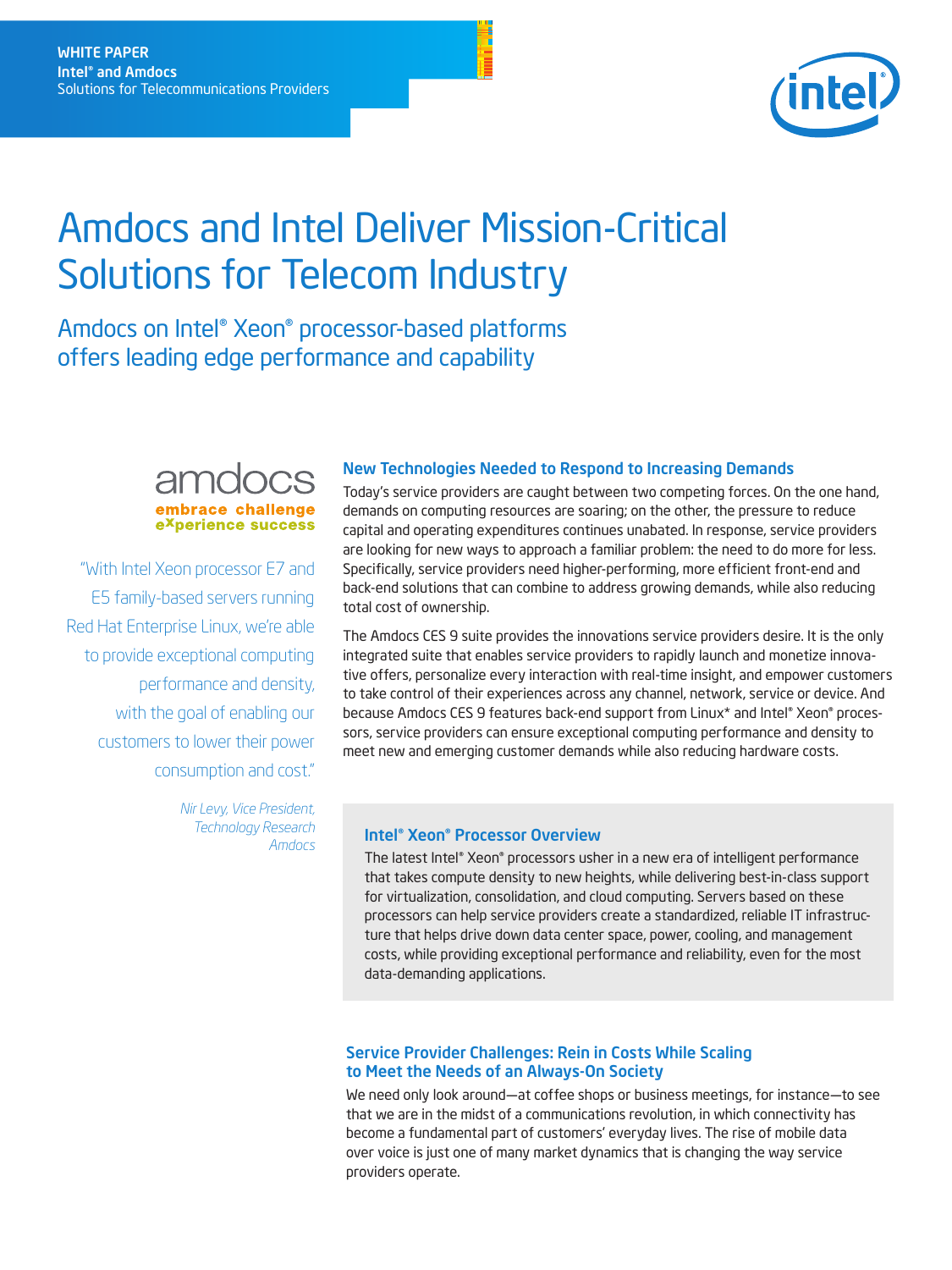

# Amdocs and Intel Deliver Mission-Critical Solutions for Telecom Industry

Amdocs on Intel® Xeon® processor-based platforms offers leading edge performance and capability



"With Intel Xeon processor E7 and E5 family-based servers running Red Hat Enterprise Linux, we're able to provide exceptional computing performance and density, with the goal of enabling our customers to lower their power consumption and cost."

> *Nir Levy, Vice President, Technology Research Amdocs*

#### New Technologies Needed to Respond to Increasing Demands

Today's service providers are caught between two competing forces. On the one hand, demands on computing resources are soaring; on the other, the pressure to reduce capital and operating expenditures continues unabated. In response, service providers are looking for new ways to approach a familiar problem: the need to do more for less. Specifically, service providers need higher-performing, more efficient front-end and back-end solutions that can combine to address growing demands, while also reducing total cost of ownership.

The Amdocs CES 9 suite provides the innovations service providers desire. It is the only integrated suite that enables service providers to rapidly launch and monetize innovative offers, personalize every interaction with real-time insight, and empower customers to take control of their experiences across any channel, network, service or device. And because Amdocs CES 9 features back-end support from Linux\* and Intel® Xeon® processors, service providers can ensure exceptional computing performance and density to meet new and emerging customer demands while also reducing hardware costs.

#### Intel® Xeon® Processor Overview

The latest Intel® Xeon® processors usher in a new era of intelligent performance that takes compute density to new heights, while delivering best-in-class support for virtualization, consolidation, and cloud computing. Servers based on these processors can help service providers create a standardized, reliable IT infrastructure that helps drive down data center space, power, cooling, and management costs, while providing exceptional performance and reliability, even for the most data-demanding applications.

#### Service Provider Challenges: Rein in Costs While Scaling to Meet the Needs of an Always-On Society

We need only look around—at coffee shops or business meetings, for instance—to see that we are in the midst of a communications revolution, in which connectivity has become a fundamental part of customers' everyday lives. The rise of mobile data over voice is just one of many market dynamics that is changing the way service providers operate.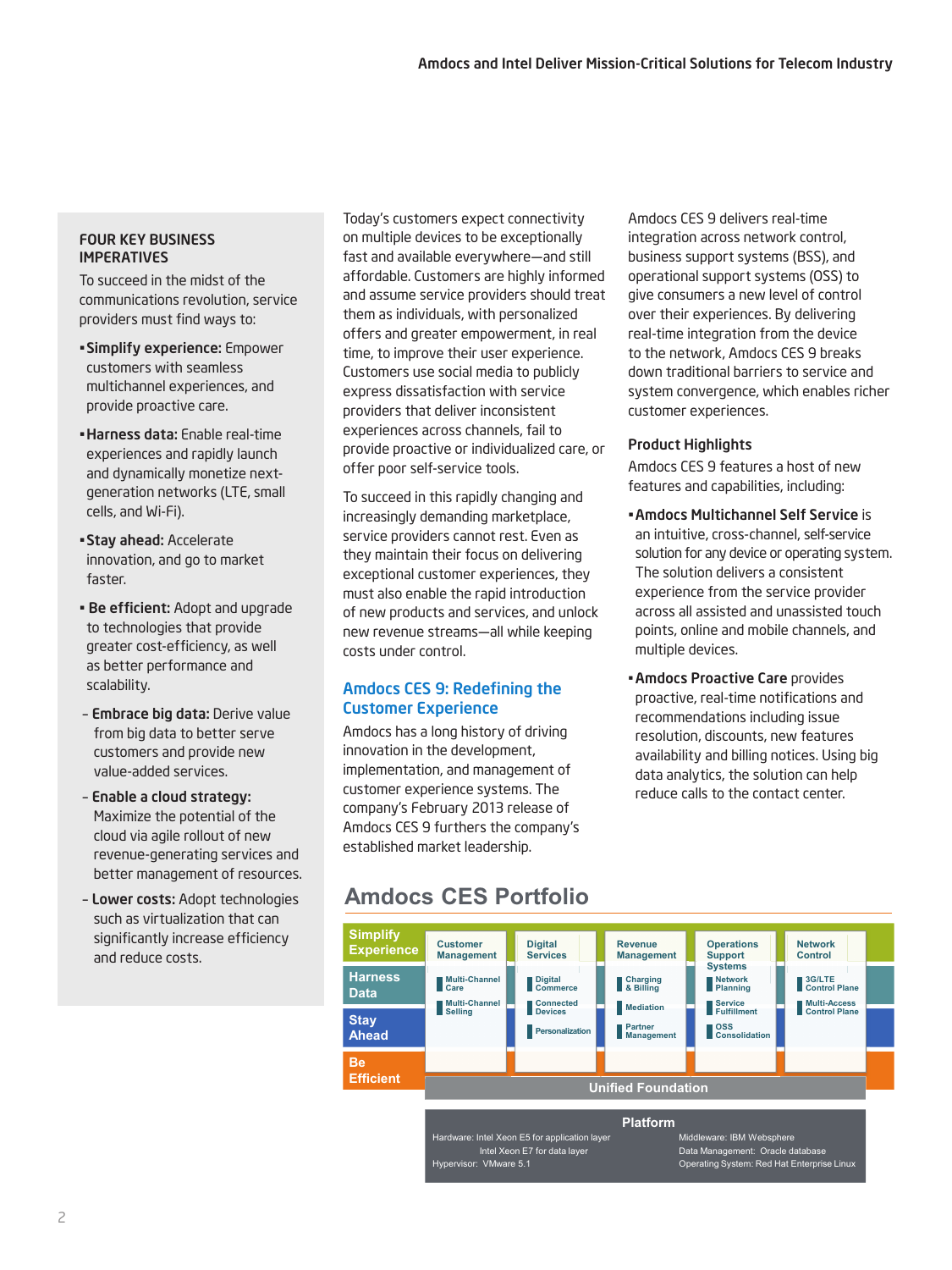#### FOUR KEY BUSINESS IMPERATIVES

To succeed in the midst of the communications revolution, service providers must find ways to:

- •Simplify experience: Empower customers with seamless multichannel experiences, and provide proactive care.
- •Harness data: Enable real-time experiences and rapidly launch and dynamically monetize nextgeneration networks (LTE, small cells, and Wi-Fi).
- •Stay ahead: Accelerate innovation, and go to market faster.
- Be efficient: Adopt and upgrade to technologies that provide greater cost-efficiency, as well as better performance and scalability.
- Embrace big data: Derive value from big data to better serve customers and provide new value-added services.
- Enable a cloud strategy: Maximize the potential of the cloud via agile rollout of new revenue-generating services and better management of resources.
- Lower costs: Adopt technologies such as virtualization that can significantly increase efficiency and reduce costs.

Today's customers expect connectivity on multiple devices to be exceptionally fast and available everywhere—and still affordable. Customers are highly informed and assume service providers should treat them as individuals, with personalized offers and greater empowerment, in real time, to improve their user experience. Customers use social media to publicly express dissatisfaction with service providers that deliver inconsistent experiences across channels, fail to provide proactive or individualized care, or offer poor self-service tools.

To succeed in this rapidly changing and increasingly demanding marketplace, service providers cannot rest. Even as they maintain their focus on delivering exceptional customer experiences, they must also enable the rapid introduction of new products and services, and unlock new revenue streams—all while keeping costs under control.

# Amdocs CES 9: Redefining the Customer Experience

Amdocs has a long history of driving innovation in the development, implementation, and management of customer experience systems. The company's February 2013 release of Amdocs CES 9 furthers the company's established market leadership.

Amdocs CES 9 delivers real-time integration across network control, business support systems (BSS), and operational support systems (OSS) to give consumers a new level of control over their experiences. By delivering real-time integration from the device to the network, Amdocs CES 9 breaks down traditional barriers to service and system convergence, which enables richer customer experiences.

# Product Highlights

Amdocs CES 9 features a host of new features and capabilities, including:

- •Amdocs Multichannel Self Service is an intuitive, cross-channel, self-service solution for any device or operating system. The solution delivers a consistent experience from the service provider across all assisted and unassisted touch points, online and mobile channels, and multiple devices.
- •Amdocs Proactive Care provides proactive, real-time notifications and recommendations including issue resolution, discounts, new features availability and billing notices. Using big data analytics, the solution can help reduce calls to the contact center.

# **Amdocs CES Portfolio**

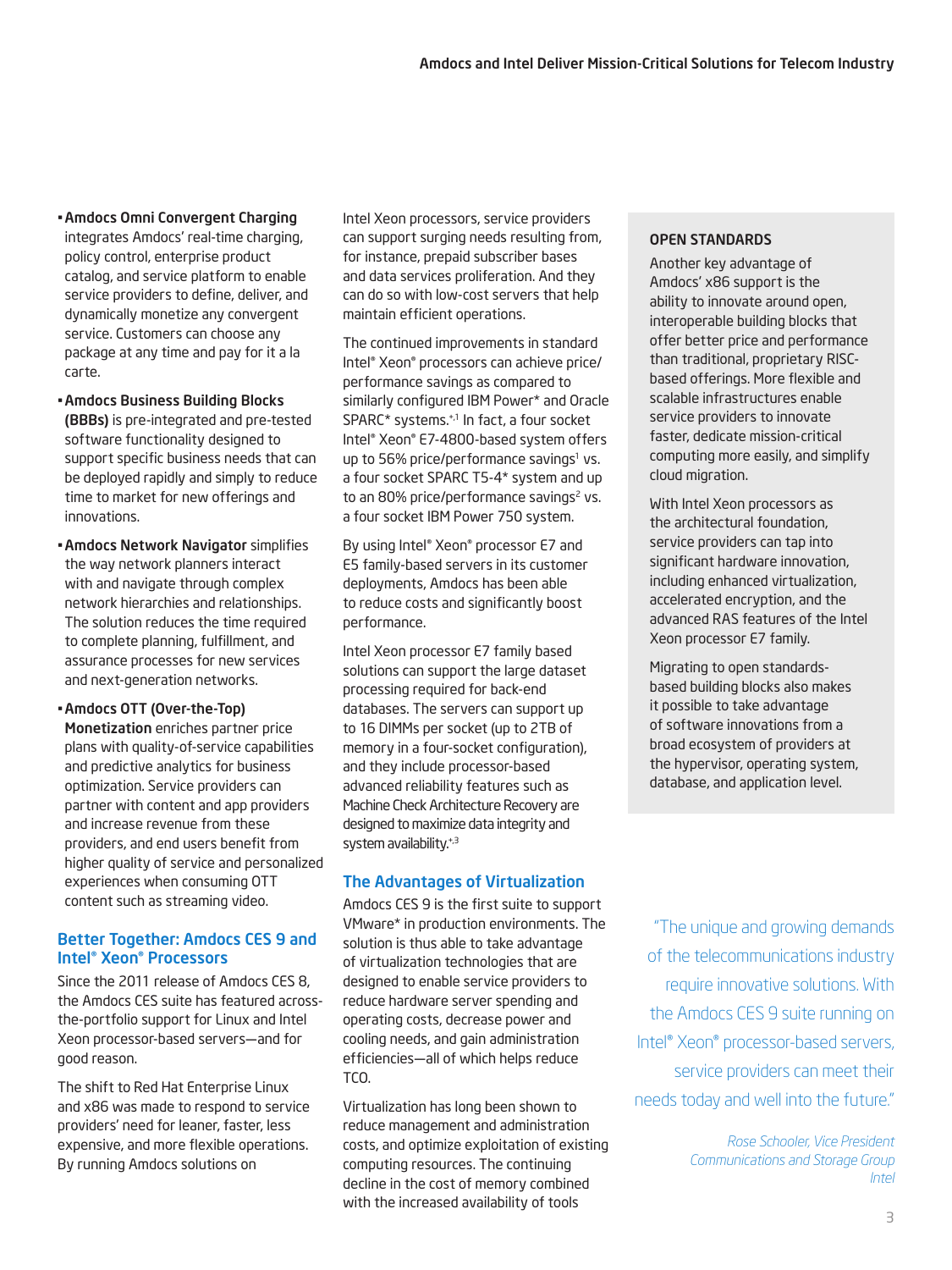- •Amdocs Omni Convergent Charging integrates Amdocs' real-time charging, policy control, enterprise product catalog, and service platform to enable service providers to define, deliver, and dynamically monetize any convergent service. Customers can choose any package at any time and pay for it a la carte.
- •Amdocs Business Building Blocks (BBBs) is pre-integrated and pre-tested software functionality designed to support specific business needs that can be deployed rapidly and simply to reduce time to market for new offerings and innovations.
- •Amdocs Network Navigator simplifies the way network planners interact with and navigate through complex network hierarchies and relationships. The solution reduces the time required to complete planning, fulfillment, and assurance processes for new services and next-generation networks.

•Amdocs OTT (Over-the-Top)

Monetization enriches partner price plans with quality-of-service capabilities and predictive analytics for business optimization. Service providers can partner with content and app providers and increase revenue from these providers, and end users benefit from higher quality of service and personalized experiences when consuming OTT content such as streaming video.

# Better Together: Amdocs CES 9 and Intel® Xeon® Processors

Since the 2011 release of Amdocs CES 8, the Amdocs CES suite has featured acrossthe-portfolio support for Linux and Intel Xeon processor-based servers—and for good reason.

The shift to Red Hat Enterprise Linux and x86 was made to respond to service providers' need for leaner, faster, less expensive, and more flexible operations. By running Amdocs solutions on

Intel Xeon processors, service providers can support surging needs resulting from, for instance, prepaid subscriber bases and data services proliferation. And they can do so with low-cost servers that help maintain efficient operations.

The continued improvements in standard Intel® Xeon® processors can achieve price/ performance savings as compared to similarly configured IBM Power\* and Oracle SPARC\* systems.+,1 In fact, a four socket Intel® Xeon® E7-4800-based system offers up to 56% price/performance savings<sup>1</sup> vs. a four socket SPARC T5-4\* system and up to an 80% price/performance savings<sup>2</sup> vs. a four socket IBM Power 750 system.

By using Intel® Xeon® processor E7 and E5 family-based servers in its customer deployments, Amdocs has been able to reduce costs and significantly boost performance.

Intel Xeon processor E7 family based solutions can support the large dataset processing required for back-end databases. The servers can support up to 16 DIMMs per socket (up to 2TB of memory in a four-socket configuration), and they include processor-based advanced reliability features such as Machine Check Architecture Recovery are designed to maximize data integrity and system availability.<sup>+,3</sup>

# The Advantages of Virtualization

Amdocs CES 9 is the first suite to support VMware\* in production environments. The solution is thus able to take advantage of virtualization technologies that are designed to enable service providers to reduce hardware server spending and operating costs, decrease power and cooling needs, and gain administration efficiencies—all of which helps reduce TCO.

Virtualization has long been shown to reduce management and administration costs, and optimize exploitation of existing computing resources. The continuing decline in the cost of memory combined with the increased availability of tools

#### OPEN STANDARDS

Another key advantage of Amdocs' x86 support is the ability to innovate around open, interoperable building blocks that offer better price and performance than traditional, proprietary RISCbased offerings. More flexible and scalable infrastructures enable service providers to innovate faster, dedicate mission-critical computing more easily, and simplify cloud migration.

With Intel Xeon processors as the architectural foundation, service providers can tap into significant hardware innovation, including enhanced virtualization, accelerated encryption, and the advanced RAS features of the Intel Xeon processor E7 family.

Migrating to open standardsbased building blocks also makes it possible to take advantage of software innovations from a broad ecosystem of providers at the hypervisor, operating system, database, and application level.

"The unique and growing demands of the telecommunications industry require innovative solutions. With the Amdocs CES 9 suite running on Intel® Xeon® processor-based servers, service providers can meet their needs today and well into the future."

> *Rose Schooler, Vice President Communications and Storage Group Intel*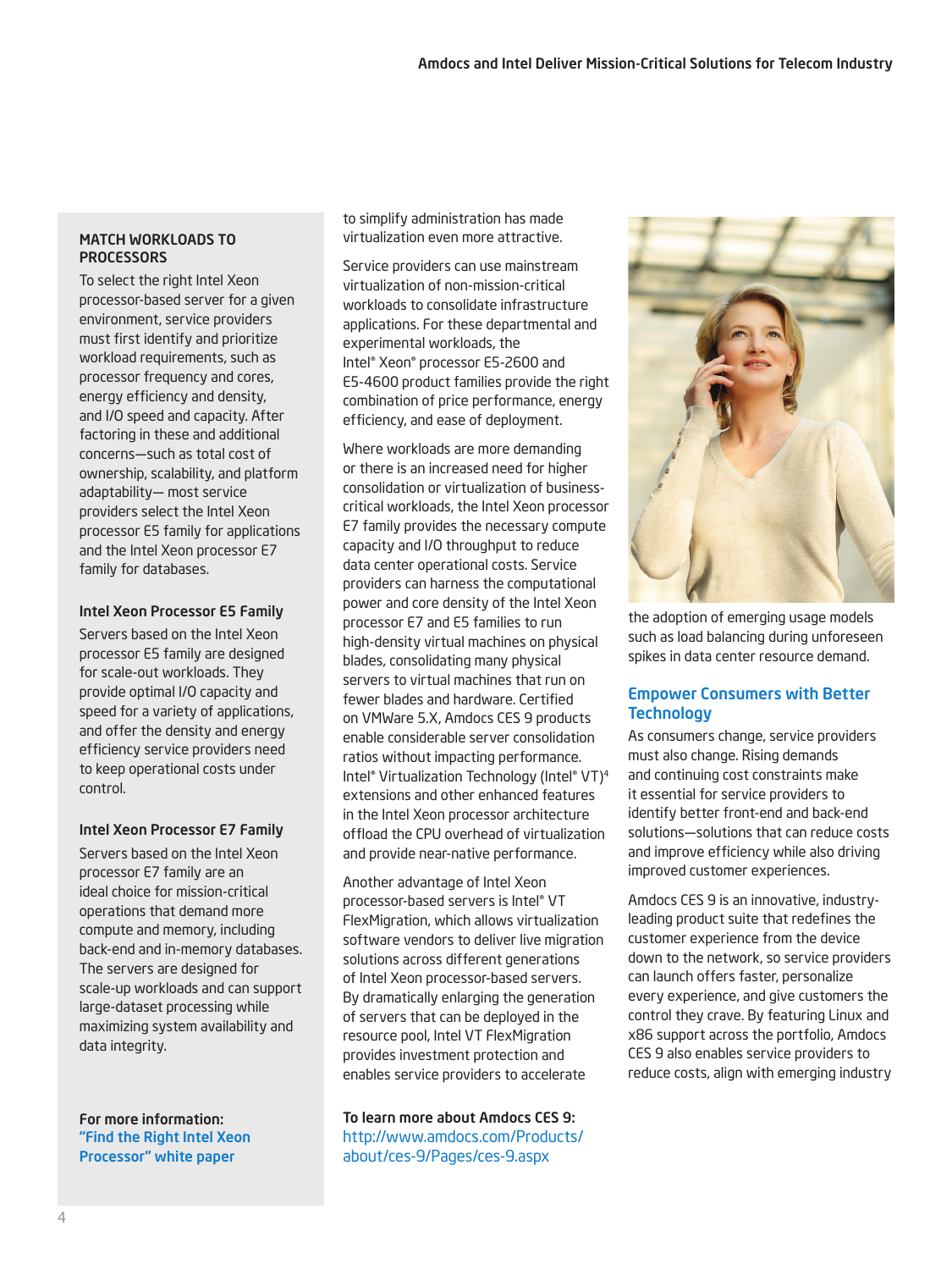## MATCH WORKLOADS TO **PROCESSORS**

To select the right Intel Xeon processor-based server for a given environment, service providers must first identify and prioritize workload requirements, such as processor frequency and cores, energy efficiency and density, and I/O speed and capacity. After factoring in these and additional concerns—such as total cost of ownership, scalability, and platform adaptability— most service providers select the Intel Xeon processor E5 family for applications and the Intel Xeon processor E7 family for databases.

#### Intel Xeon Processor E5 Family

Servers based on the Intel Xeon processor E5 family are designed for scale-out workloads. They provide optimal I/O capacity and speed for a variety of applications, and offer the density and energy efficiency service providers need to keep operational costs under control.

#### Intel Xeon Processor E7 Family

Servers based on the Intel Xeon processor E7 family are an ideal choice for mission-critical operations that demand more compute and memory, including back-end and in-memory databases. The servers are designed for scale-up workloads and can support large-dataset processing while maximizing system availability and data integrity.

For more information: ["Find the Right Intel Xeon](http://www.intel.com/content/www/us/en/processors/xeon/find-the-right-xeon-processor.html?wapkw=find+the+right+intel+xeon+processor)  [Processor" white paper](http://www.intel.com/content/www/us/en/processors/xeon/find-the-right-xeon-processor.html?wapkw=find+the+right+intel+xeon+processor)

to simplify administration has made virtualization even more attractive.

Service providers can use mainstream virtualization of non-mission-critical workloads to consolidate infrastructure applications. For these departmental and experimental workloads, the Intel® Xeon® processor E5-2600 and E5-4600 product families provide the right combination of price performance, energy efficiency, and ease of deployment.

Where workloads are more demanding or there is an increased need for higher consolidation or virtualization of businesscritical workloads, the Intel Xeon processor E7 family provides the necessary compute capacity and I/O throughput to reduce data center operational costs. Service providers can harness the computational power and core density of the Intel Xeon processor E7 and E5 families to run high-density virtual machines on physical blades, consolidating many physical servers to virtual machines that run on fewer blades and hardware. Certified on VMWare 5.X, Amdocs CES 9 products enable considerable server consolidation ratios without impacting performance. Intel® Virtualization Technology (Intel® VT)4 extensions and other enhanced features in the Intel Xeon processor architecture offload the CPU overhead of virtualization and provide near-native performance.

Another advantage of Intel Xeon processor-based servers is Intel® VT FlexMigration, which allows virtualization software vendors to deliver live migration solutions across different generations of Intel Xeon processor-based servers. By dramatically enlarging the generation of servers that can be deployed in the resource pool, Intel VT FlexMigration provides investment protection and enables service providers to accelerate

To learn more about Amdocs CES 9: http://www.amdocs.com/Products/ about/ces-9/Pages/ces-9.aspx



the adoption of emerging usage models such as load balancing during unforeseen spikes in data center resource demand.

## Empower Consumers with Better **Technology**

As consumers change, service providers must also change. Rising demands and continuing cost constraints make it essential for service providers to identify better front-end and back-end solutions—solutions that can reduce costs and improve efficiency while also driving improved customer experiences.

Amdocs CES 9 is an innovative, industryleading product suite that redefines the customer experience from the device down to the network, so service providers can launch offers faster, personalize every experience, and give customers the control they crave. By featuring Linux and x86 support across the portfolio, Amdocs CES 9 also enables service providers to reduce costs, align with emerging industry